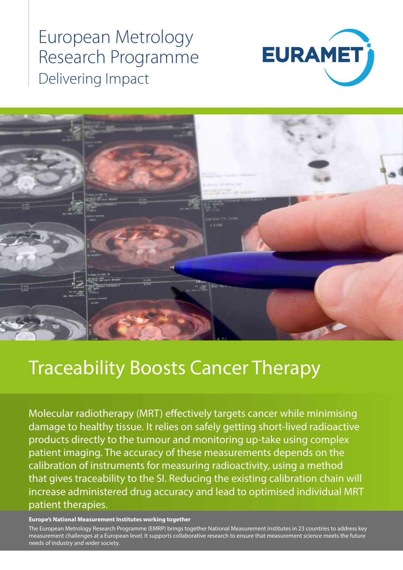## European Metrology Research Programme Delivering Impact





# Traceability Boosts Cancer Therapy

Molecular radiotherapy (MRT) effectively targets cancer while minimising damage to healthy tissue. It relies on safely getting short-lived radioactive products directly to the tumour and monitoring up-take using complex patient imaging. The accuracy of these measurements depends on the calibration of instruments for measuring radioactivity, using a method that gives traceability to the SI. Reducing the existing calibration chain will increase administered drug accuracy and lead to optimised individual MRT patient therapies.

#### **Europe's National Measurement Institutes working together**

The European Metrology Research Programme (EMRP) brings together National Measurement Institutes in 23 countries to address key measurement challenges at a European level. It supports collaborative research to ensure that measurement science meets the future needs of industry and wider society.